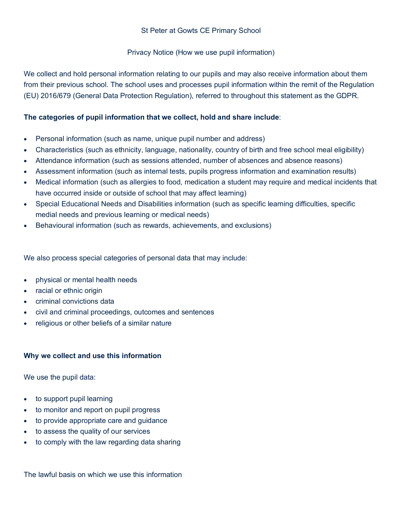## St Peter at Gowts CE Primary School

## Privacy Notice (How we use pupil information)

We collect and hold personal information relating to our pupils and may also receive information about them from their previous school. The school uses and processes pupil information within the remit of the Regulation (EU) 2016/679 (General Data Protection Regulation), referred to throughout this statement as the GDPR.

## **The categories of pupil information that we collect, hold and share include**:

- Personal information (such as name, unique pupil number and address)
- Characteristics (such as ethnicity, language, nationality, country of birth and free school meal eligibility)
- Attendance information (such as sessions attended, number of absences and absence reasons)
- Assessment information (such as internal tests, pupils progress information and examination results)
- Medical information (such as allergies to food, medication a student may require and medical incidents that have occurred inside or outside of school that may affect learning)
- Special Educational Needs and Disabilities information (such as specific learning difficulties, specific medial needs and previous learning or medical needs)
- Behavioural information (such as rewards, achievements, and exclusions)

We also process special categories of personal data that may include:

- physical or mental health needs
- racial or ethnic origin
- criminal convictions data
- civil and criminal proceedings, outcomes and sentences
- religious or other beliefs of a similar nature

# **Why we collect and use this information**

We use the pupil data:

- to support pupil learning
- to monitor and report on pupil progress
- to provide appropriate care and guidance
- to assess the quality of our services
- to comply with the law regarding data sharing

The lawful basis on which we use this information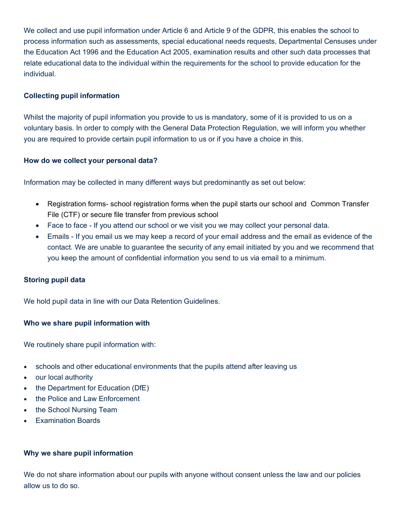We collect and use pupil information under Article 6 and Article 9 of the GDPR, this enables the school to process information such as assessments, special educational needs requests, Departmental Censuses under the Education Act 1996 and the Education Act 2005, examination results and other such data processes that relate educational data to the individual within the requirements for the school to provide education for the individual.

## **Collecting pupil information**

Whilst the majority of pupil information you provide to us is mandatory, some of it is provided to us on a voluntary basis. In order to comply with the General Data Protection Regulation, we will inform you whether you are required to provide certain pupil information to us or if you have a choice in this.

#### **How do we collect your personal data?**

Information may be collected in many different ways but predominantly as set out below:

- Registration forms- school registration forms when the pupil starts our school and Common Transfer File (CTF) or secure file transfer from previous school
- Face to face If you attend our school or we visit you we may collect your personal data.
- Emails If you email us we may keep a record of your email address and the email as evidence of the contact. We are unable to guarantee the security of any email initiated by you and we recommend that you keep the amount of confidential information you send to us via email to a minimum.

#### **Storing pupil data**

We hold pupil data in line with our Data Retention Guidelines.

#### **Who we share pupil information with**

We routinely share pupil information with:

- schools and other educational environments that the pupils attend after leaving us
- our local authority
- the Department for Education (DfE)
- the Police and Law Enforcement
- the School Nursing Team
- Examination Boards

#### **Why we share pupil information**

We do not share information about our pupils with anyone without consent unless the law and our policies allow us to do so.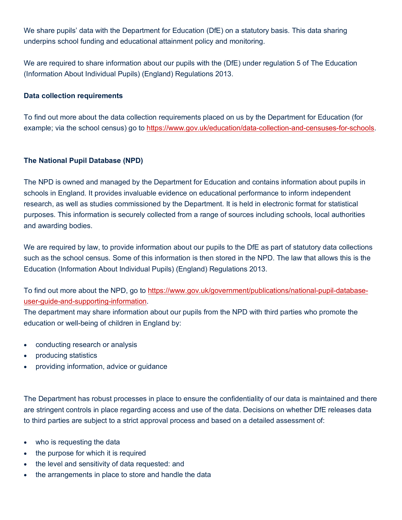We share pupils' data with the Department for Education (DfE) on a statutory basis. This data sharing underpins school funding and educational attainment policy and monitoring.

We are required to share information about our pupils with the (DfE) under regulation 5 of The Education (Information About Individual Pupils) (England) Regulations 2013.

### **Data collection requirements**

To find out more about the data collection requirements placed on us by the Department for Education (for example; via the school census) go to https://www.gov.uk/education/data-collection-and-censuses-for-schools.

## **The National Pupil Database (NPD)**

The NPD is owned and managed by the Department for Education and contains information about pupils in schools in England. It provides invaluable evidence on educational performance to inform independent research, as well as studies commissioned by the Department. It is held in electronic format for statistical purposes. This information is securely collected from a range of sources including schools, local authorities and awarding bodies.

We are required by law, to provide information about our pupils to the DfE as part of statutory data collections such as the school census. Some of this information is then stored in the NPD. The law that allows this is the Education (Information About Individual Pupils) (England) Regulations 2013.

To find out more about the NPD, go to https://www.gov.uk/government/publications/national-pupil-databaseuser-guide-and-supporting-information.

The department may share information about our pupils from the NPD with third parties who promote the education or well-being of children in England by:

- conducting research or analysis
- producing statistics
- providing information, advice or guidance

The Department has robust processes in place to ensure the confidentiality of our data is maintained and there are stringent controls in place regarding access and use of the data. Decisions on whether DfE releases data to third parties are subject to a strict approval process and based on a detailed assessment of:

- who is requesting the data
- the purpose for which it is required
- the level and sensitivity of data requested: and
- the arrangements in place to store and handle the data